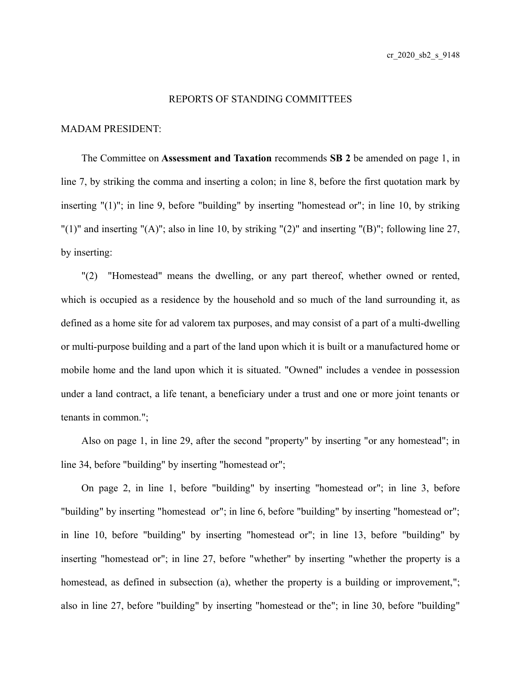## REPORTS OF STANDING COMMITTEES

## MADAM PRESIDENT:

The Committee on **Assessment and Taxation** recommends **SB 2** be amended on page 1, in line 7, by striking the comma and inserting a colon; in line 8, before the first quotation mark by inserting " $(1)$ "; in line 9, before "building" by inserting "homestead or"; in line 10, by striking "(1)" and inserting "(A)"; also in line 10, by striking "(2)" and inserting "(B)"; following line 27, by inserting:

"(2) "Homestead" means the dwelling, or any part thereof, whether owned or rented, which is occupied as a residence by the household and so much of the land surrounding it, as defined as a home site for ad valorem tax purposes, and may consist of a part of a multi-dwelling or multi-purpose building and a part of the land upon which it is built or a manufactured home or mobile home and the land upon which it is situated. "Owned" includes a vendee in possession under a land contract, a life tenant, a beneficiary under a trust and one or more joint tenants or tenants in common.";

Also on page 1, in line 29, after the second "property" by inserting "or any homestead"; in line 34, before "building" by inserting "homestead or";

On page 2, in line 1, before "building" by inserting "homestead or"; in line 3, before "building" by inserting "homestead or"; in line 6, before "building" by inserting "homestead or"; in line 10, before "building" by inserting "homestead or"; in line 13, before "building" by inserting "homestead or"; in line 27, before "whether" by inserting "whether the property is a homestead, as defined in subsection (a), whether the property is a building or improvement,"; also in line 27, before "building" by inserting "homestead or the"; in line 30, before "building"